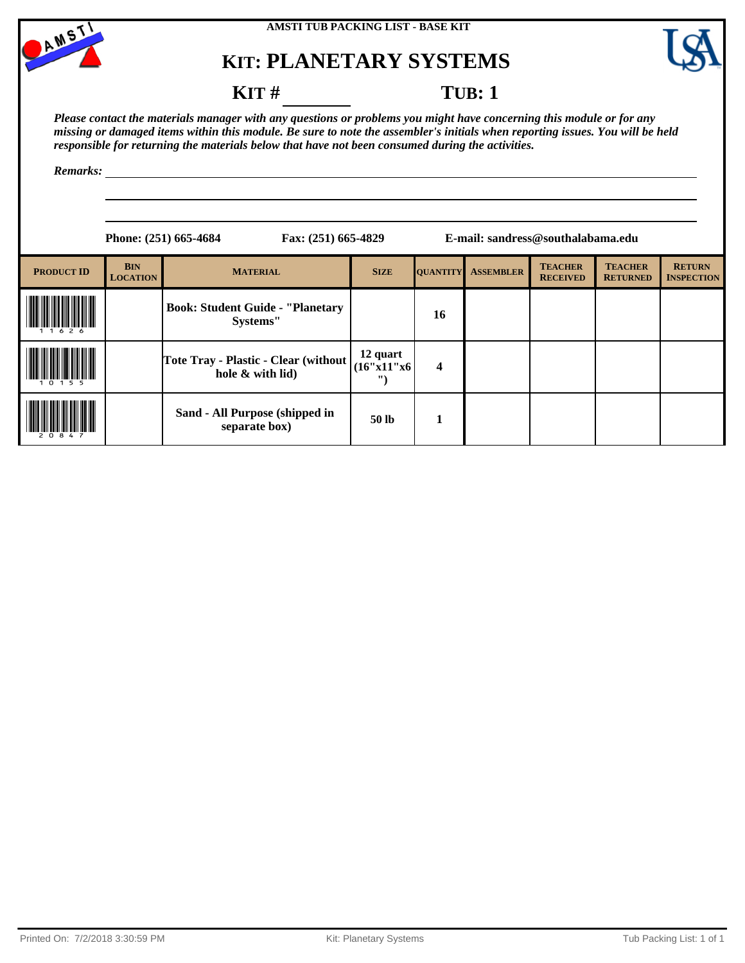



### **KIT** # **TUB**: 1

*Please contact the materials manager with any questions or problems you might have concerning this module or for any missing or damaged items within this module. Be sure to note the assembler's initials when reporting issues. You will be held responsible for returning the materials below that have not been consumed during the activities.*

|                   |                               | Phone: (251) 665-4684<br>Fax: (251) 665-4829               | E-mail: sandress@southalabama.edu   |                 |                  |                                   |                                   |                                    |
|-------------------|-------------------------------|------------------------------------------------------------|-------------------------------------|-----------------|------------------|-----------------------------------|-----------------------------------|------------------------------------|
| <b>PRODUCT ID</b> | <b>BIN</b><br><b>LOCATION</b> | <b>MATERIAL</b>                                            | <b>SIZE</b>                         | <b>QUANTITY</b> | <b>ASSEMBLER</b> | <b>TEACHER</b><br><b>RECEIVED</b> | <b>TEACHER</b><br><b>RETURNED</b> | <b>RETURN</b><br><b>INSPECTION</b> |
|                   |                               | <b>Book: Student Guide - "Planetary</b><br>Systems"        |                                     | 16              |                  |                                   |                                   |                                    |
|                   |                               | Tote Tray - Plastic - Clear (without  <br>hole & with lid) | 12 quart<br>(16"x11"x6)<br>$\cdots$ | 4               |                  |                                   |                                   |                                    |
|                   |                               | Sand - All Purpose (shipped in<br>separate box)            | 50 lb                               | 1               |                  |                                   |                                   |                                    |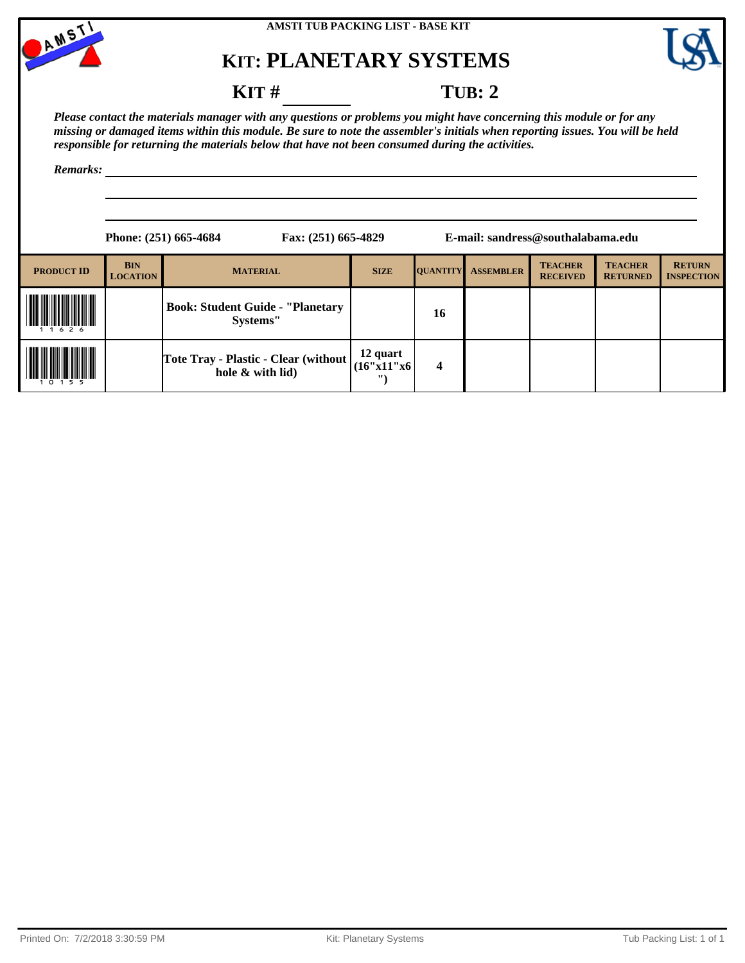



### **KIT** # **TUB: 2**

*Please contact the materials manager with any questions or problems you might have concerning this module or for any missing or damaged items within this module. Be sure to note the assembler's initials when reporting issues. You will be held responsible for returning the materials below that have not been consumed during the activities.*

|                   |                               | Phone: (251) 665-4684<br>Fax: (251) 665-4829               | E-mail: sandress@southalabama.edu  |                         |                  |                                   |                                   |                                    |  |
|-------------------|-------------------------------|------------------------------------------------------------|------------------------------------|-------------------------|------------------|-----------------------------------|-----------------------------------|------------------------------------|--|
| <b>PRODUCT ID</b> | <b>BIN</b><br><b>LOCATION</b> | <b>MATERIAL</b>                                            | <b>SIZE</b>                        | <b>QUANTITY</b>         | <b>ASSEMBLER</b> | <b>TEACHER</b><br><b>RECEIVED</b> | <b>TEACHER</b><br><b>RETURNED</b> | <b>RETURN</b><br><b>INSPECTION</b> |  |
| 1626              |                               | <b>Book: Student Guide - "Planetary</b><br>Systems"        |                                    | 16                      |                  |                                   |                                   |                                    |  |
| 1 5 5             |                               | Tote Tray - Plastic - Clear (without  <br>hole & with lid) | 12 quart<br>(16"x11"x6<br>$\cdots$ | $\overline{\mathbf{4}}$ |                  |                                   |                                   |                                    |  |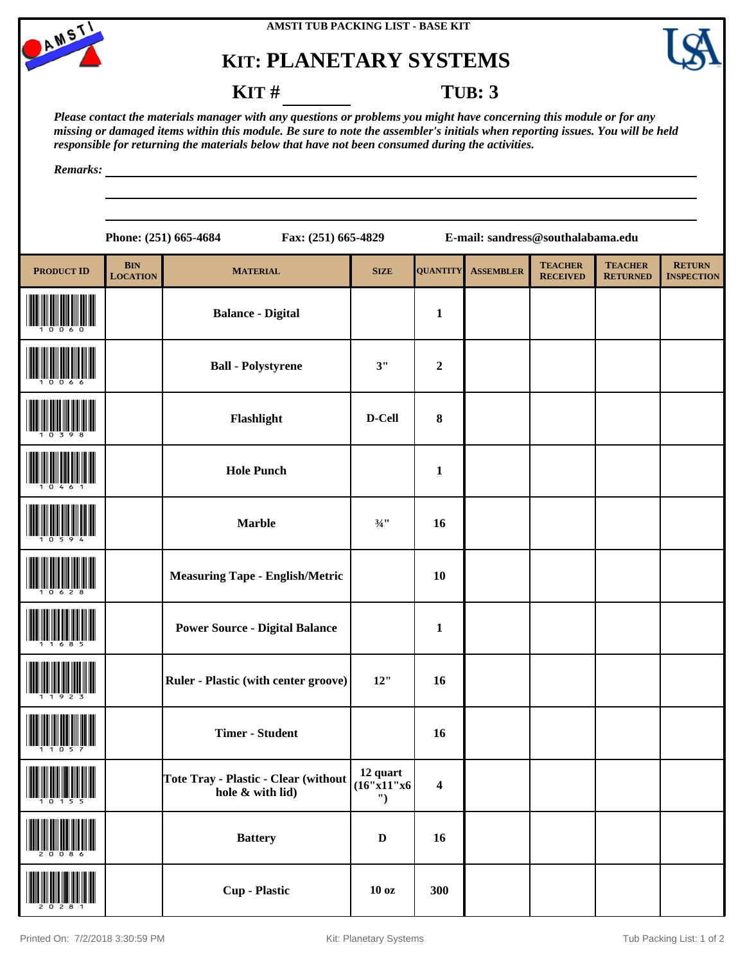



#### **KIT # TUB: 3**

*Please contact the materials manager with any questions or problems you might have concerning this module or for any missing or damaged items within this module. Be sure to note the assembler's initials when reporting issues. You will be held responsible for returning the materials below that have not been consumed during the activities.*

|                   |                               | Phone: (251) 665-4684<br>Fax: (251) 665-4829             |                               |                         | E-mail: sandress@southalabama.edu |                                   |                                   |                                    |
|-------------------|-------------------------------|----------------------------------------------------------|-------------------------------|-------------------------|-----------------------------------|-----------------------------------|-----------------------------------|------------------------------------|
| <b>PRODUCT ID</b> | <b>BIN</b><br><b>LOCATION</b> | <b>MATERIAL</b>                                          | <b>SIZE</b>                   | <b>QUANTITY</b>         | <b>ASSEMBLER</b>                  | <b>TEACHER</b><br><b>RECEIVED</b> | <b>TEACHER</b><br><b>RETURNED</b> | <b>RETURN</b><br><b>INSPECTION</b> |
|                   |                               | <b>Balance - Digital</b>                                 |                               | $\mathbf{1}$            |                                   |                                   |                                   |                                    |
|                   |                               | <b>Ball - Polystyrene</b>                                | 3"                            | $\boldsymbol{2}$        |                                   |                                   |                                   |                                    |
|                   |                               | Flashlight                                               | D-Cell                        | 8                       |                                   |                                   |                                   |                                    |
|                   |                               | <b>Hole Punch</b>                                        |                               | $\mathbf{1}$            |                                   |                                   |                                   |                                    |
|                   |                               | <b>Marble</b>                                            | $\frac{3}{4}$ ''              | 16                      |                                   |                                   |                                   |                                    |
|                   |                               | <b>Measuring Tape - English/Metric</b>                   |                               | 10                      |                                   |                                   |                                   |                                    |
|                   |                               | <b>Power Source - Digital Balance</b>                    |                               | $\mathbf{1}$            |                                   |                                   |                                   |                                    |
|                   |                               | Ruler - Plastic (with center groove)                     | 12"                           | 16                      |                                   |                                   |                                   |                                    |
|                   |                               | <b>Timer - Student</b>                                   |                               | 16                      |                                   |                                   |                                   |                                    |
|                   |                               | Tote Tray - Plastic - Clear (without<br>hole & with lid) | 12 quart<br>(16"x11"x6)<br>") | $\overline{\mathbf{4}}$ |                                   |                                   |                                   |                                    |
|                   |                               | <b>Battery</b>                                           | $\mathbf D$                   | 16                      |                                   |                                   |                                   |                                    |
|                   |                               | <b>Cup</b> - Plastic                                     | 10 <sub>oz</sub>              | 300                     |                                   |                                   |                                   |                                    |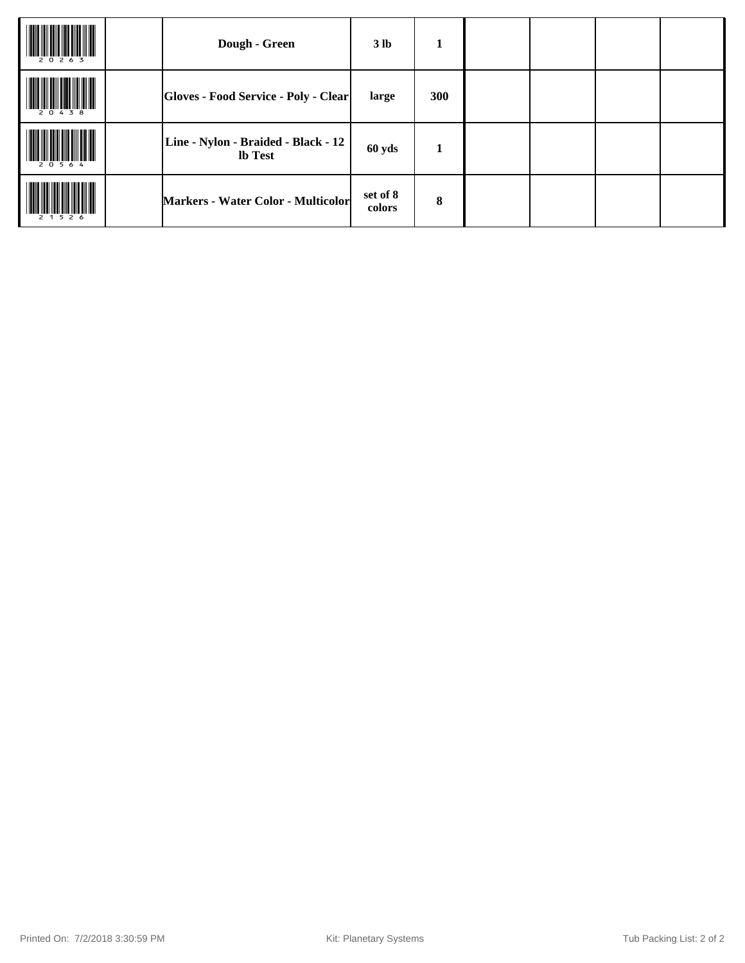|           | Dough - Green                                  | 3 <sub>lb</sub>    | 1          |  |  |
|-----------|------------------------------------------------|--------------------|------------|--|--|
| 20438     | <b>Gloves - Food Service - Poly - Clear</b>    | large              | <b>300</b> |  |  |
| 20564     | Line - Nylon - Braided - Black - 12<br>lb Test | 60 yds             | 1          |  |  |
| 2 1 5 2 6 | Markers - Water Color - Multicolor             | set of 8<br>colors | 8          |  |  |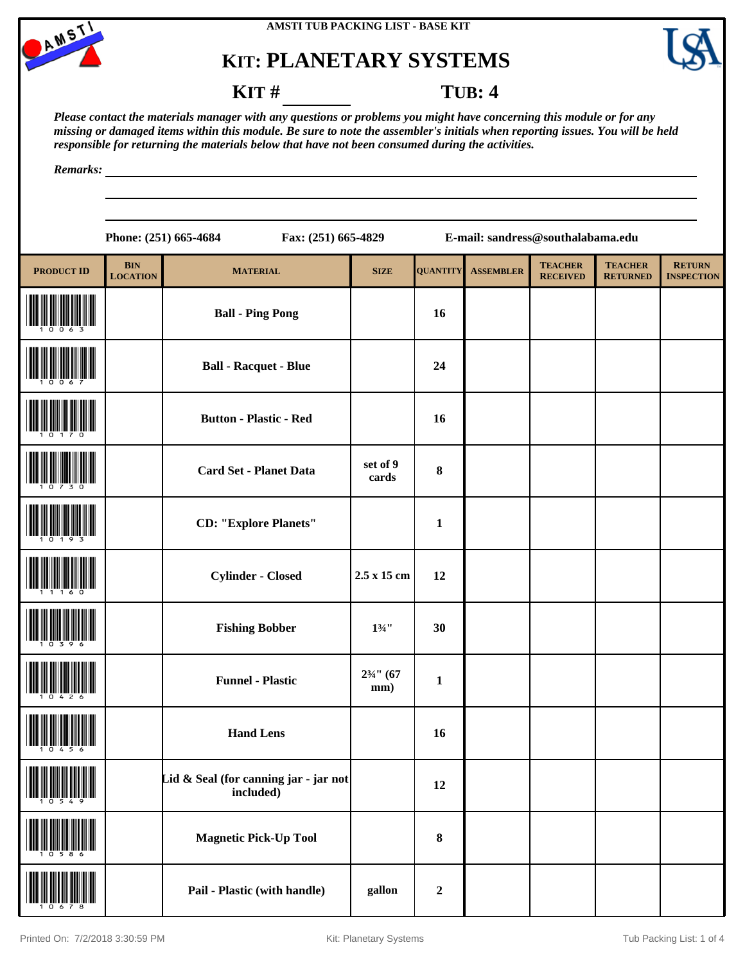



**RETURN INSPECTION**

#### **KIT** # **TUB: 4**

*Please contact the materials manager with any questions or problems you might have concerning this module or for any missing or damaged items within this module. Be sure to note the assembler's initials when reporting issues. You will be held responsible for returning the materials below that have not been consumed during the activities.*

*Remarks:*

|                   |                               | Phone: (251) 665-4684<br>Fax: (251) 665-4829 |                             |                 | E-mail: sandress@southalabama.edu |                                   |                                   |
|-------------------|-------------------------------|----------------------------------------------|-----------------------------|-----------------|-----------------------------------|-----------------------------------|-----------------------------------|
| <b>PRODUCT ID</b> | <b>BIN</b><br><b>LOCATION</b> | <b>MATERIAL</b>                              | <b>SIZE</b>                 | <b>QUANTITY</b> | <b>ASSEMBLER</b>                  | <b>TEACHER</b><br><b>RECEIVED</b> | <b>TEACHER</b><br><b>RETURNED</b> |
|                   |                               | <b>Ball - Ping Pong</b>                      |                             | 16              |                                   |                                   |                                   |
|                   |                               | <b>Ball - Racquet - Blue</b>                 |                             | 24              |                                   |                                   |                                   |
|                   |                               | <b>Button - Plastic - Red</b>                |                             | 16              |                                   |                                   |                                   |
|                   |                               | <b>Card Set - Planet Data</b>                | set of 9<br>cards           | 8               |                                   |                                   |                                   |
|                   |                               | <b>CD: "Explore Planets"</b>                 |                             | $\mathbf{1}$    |                                   |                                   |                                   |
|                   |                               | <b>Cylinder - Closed</b>                     | 2.5 x 15 cm                 | 12              |                                   |                                   |                                   |
|                   |                               | <b>Fishing Bobber</b>                        | $1\frac{3}{4}$ "            | 30              |                                   |                                   |                                   |
|                   |                               | <b>Funnel - Plastic</b>                      | $2\frac{3}{4}$ " (67<br>mm) | $\mathbf{1}$    |                                   |                                   |                                   |

**Hand Lens 16 Hand Lens 16 16** 

Lid & Seal (for canning jar - jar not

 $\begin{array}{|c|c|c|c|c|}\n \hline \text{included)} & & 12 \\
\hline\n \end{array}$ 

(10586) **Magnetic Pick-Up Tool <sup>8</sup>**

(10678) **Pail - Plastic (with handle) gallon <sup>2</sup>**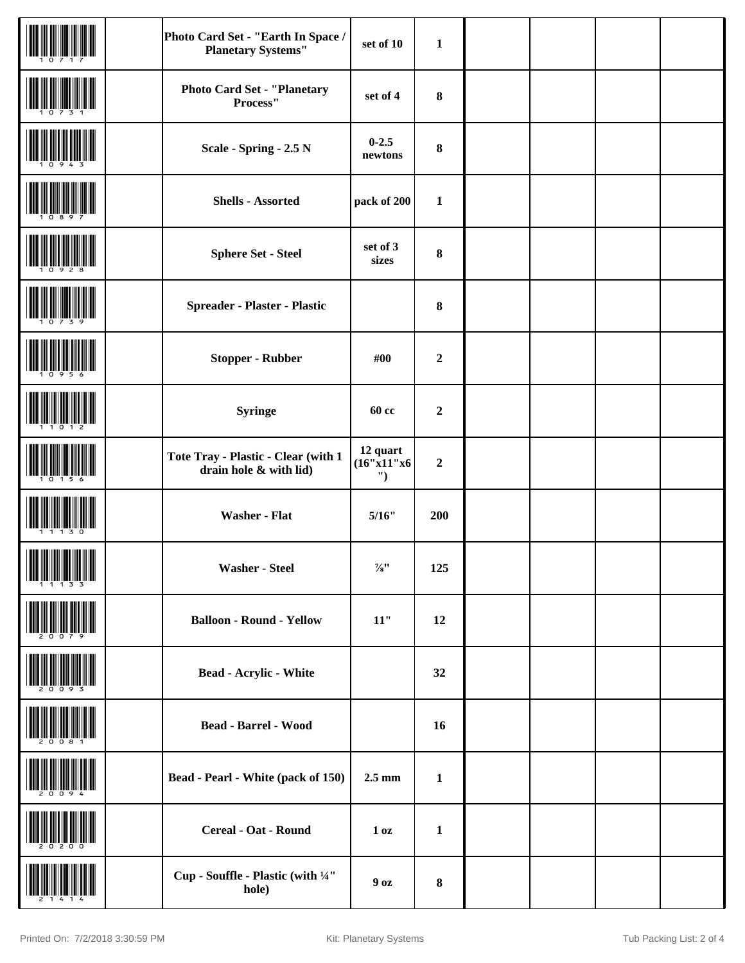|                               | Photo Card Set - "Earth In Space /<br><b>Planetary Systems"</b> | set of 10                     | $\mathbf{1}$     |  |  |
|-------------------------------|-----------------------------------------------------------------|-------------------------------|------------------|--|--|
|                               | <b>Photo Card Set - "Planetary</b><br>Process"                  | set of 4                      | 8                |  |  |
|                               | Scale - Spring - 2.5 N                                          | $0 - 2.5$<br>newtons          | 8                |  |  |
|                               | <b>Shells - Assorted</b>                                        | pack of 200                   | $\mathbf{1}$     |  |  |
|                               | <b>Sphere Set - Steel</b>                                       | set of 3<br>sizes             | 8                |  |  |
|                               | Spreader - Plaster - Plastic                                    |                               | 8                |  |  |
|                               | <b>Stopper - Rubber</b>                                         | #00                           | $\boldsymbol{2}$ |  |  |
|                               | <b>Syringe</b>                                                  | <b>60 cc</b>                  | $\boldsymbol{2}$ |  |  |
|                               | Tote Tray - Plastic - Clear (with 1<br>drain hole & with lid)   | 12 quart<br>(16"x11"x6)<br>") | $\boldsymbol{2}$ |  |  |
|                               | <b>Washer - Flat</b>                                            | 5/16"                         | 200              |  |  |
| <b>THE REAL PROPERTY OF A</b> | <b>Washer - Steel</b>                                           | $\mathcal{V}_{8}$ ''          | 125              |  |  |
|                               | <b>Balloon - Round - Yellow</b>                                 | $11"$                         | 12               |  |  |
|                               | <b>Bead - Acrylic - White</b>                                   |                               | 32               |  |  |
|                               | <b>Bead - Barrel - Wood</b>                                     |                               | 16               |  |  |
|                               | <b>Bead - Pearl - White (pack of 150)</b>                       | $2.5 \text{ mm}$              | $\mathbf{1}$     |  |  |
|                               | Cereal - Oat - Round                                            | 1 <sub>0</sub> z              | $\mathbf{1}$     |  |  |
|                               | Cup - Souffle - Plastic (with $\frac{1}{4}$<br>hole)            | 90z                           | ${\bf 8}$        |  |  |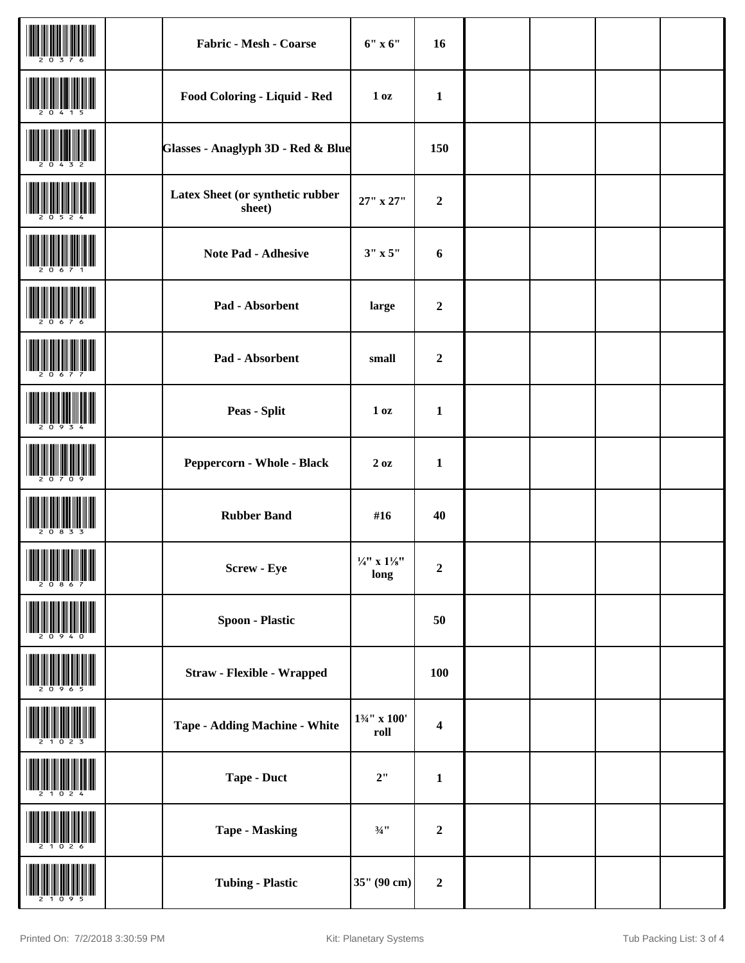|                                                            | Fabric - Mesh - Coarse                     | $6"$ x $6"$                              | 16                      |  |  |
|------------------------------------------------------------|--------------------------------------------|------------------------------------------|-------------------------|--|--|
|                                                            | Food Coloring - Liquid - Red               | 1 <sub>0</sub> z                         | $\mathbf{1}$            |  |  |
|                                                            | Glasses - Anaglyph 3D - Red & Blue         |                                          | 150                     |  |  |
|                                                            | Latex Sheet (or synthetic rubber<br>sheet) | 27" x 27"                                | $\mathbf 2$             |  |  |
|                                                            | <b>Note Pad - Adhesive</b>                 | $3" \times 5"$                           | $\boldsymbol{6}$        |  |  |
|                                                            | Pad - Absorbent                            | large                                    | $\boldsymbol{2}$        |  |  |
|                                                            | Pad - Absorbent                            | small                                    | $\mathbf 2$             |  |  |
|                                                            | <b>Peas - Split</b>                        | 1 <sub>0</sub> z                         | $\mathbf{1}$            |  |  |
|                                                            | Peppercorn - Whole - Black                 | 20z                                      | $\mathbf{1}$            |  |  |
|                                                            | <b>Rubber Band</b>                         | #16                                      | 40                      |  |  |
| <b>THE REAL PROPERTY</b><br><u> Hill Milligan yn Dilli</u> | Screw - Eye                                | $\frac{1}{4}$ x $1\frac{1}{8}$<br>long   | $\boldsymbol{2}$        |  |  |
|                                                            | <b>Spoon - Plastic</b>                     |                                          | 50                      |  |  |
|                                                            | <b>Straw - Flexible - Wrapped</b>          |                                          | 100                     |  |  |
|                                                            | <b>Tape - Adding Machine - White</b>       | $1\frac{3}{4}$ " x 100'<br>$\bold{roll}$ | $\overline{\mathbf{4}}$ |  |  |
|                                                            | Tape - Duct                                | 2"                                       | $\mathbf{1}$            |  |  |
|                                                            | <b>Tape - Masking</b>                      | $\frac{3}{4}$ "                          | $\mathbf 2$             |  |  |
|                                                            | <b>Tubing - Plastic</b>                    | 35" (90 cm)                              | $\mathbf 2$             |  |  |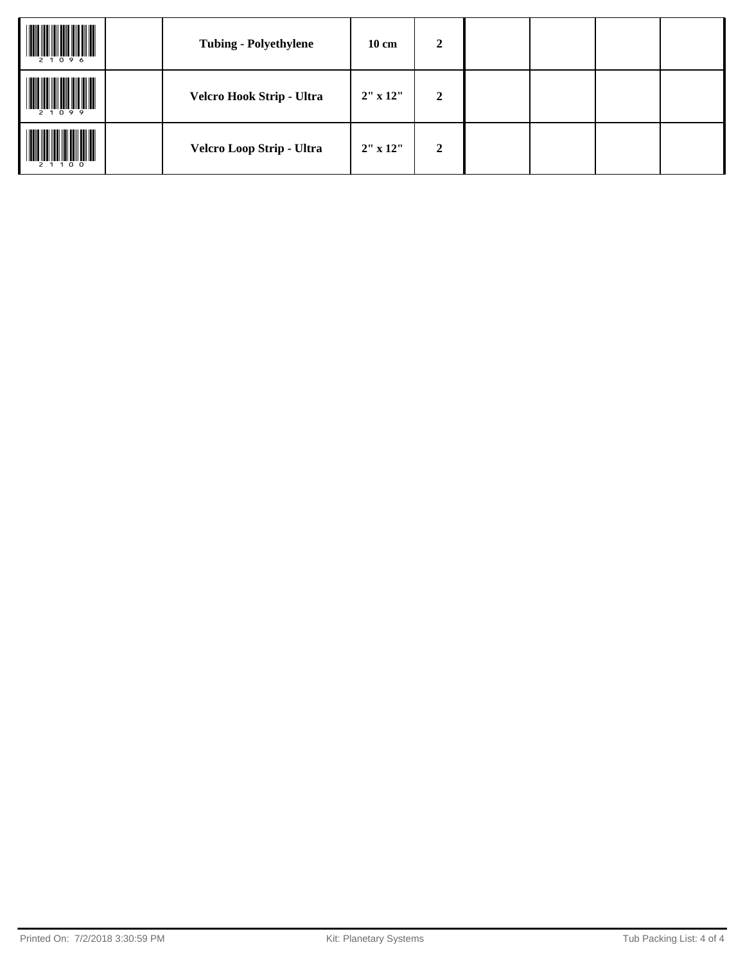| 2 1 0 9 6 | <b>Tubing - Polyethylene</b> | $10 \text{ cm}$ | $\boldsymbol{2}$ |  |  |
|-----------|------------------------------|-----------------|------------------|--|--|
| 2 1 0 9 9 | Velcro Hook Strip - Ultra    | $2''$ x $12''$  | $\overline{2}$   |  |  |
| 2 1 1 0 0 | Velcro Loop Strip - Ultra    | $2''$ x $12''$  | $\overline{2}$   |  |  |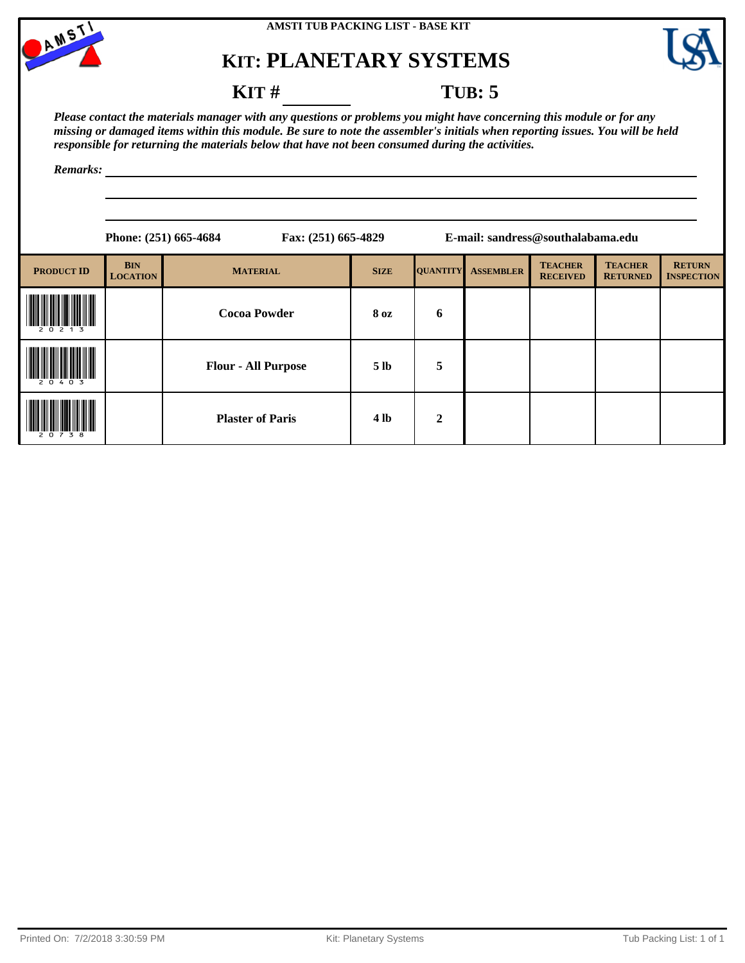



### **KIT** # **TUB**: 5

*Please contact the materials manager with any questions or problems you might have concerning this module or for any missing or damaged items within this module. Be sure to note the assembler's initials when reporting issues. You will be held responsible for returning the materials below that have not been consumed during the activities.*

|                   |                               | Phone: (251) 665-4684      | Fax: (251) 665-4829 |                 |                  | E-mail: sandress@southalabama.edu |                                   |                                    |  |
|-------------------|-------------------------------|----------------------------|---------------------|-----------------|------------------|-----------------------------------|-----------------------------------|------------------------------------|--|
| <b>PRODUCT ID</b> | <b>BIN</b><br><b>LOCATION</b> | <b>MATERIAL</b>            | <b>SIZE</b>         | <b>QUANTITY</b> | <b>ASSEMBLER</b> | <b>TEACHER</b><br><b>RECEIVED</b> | <b>TEACHER</b><br><b>RETURNED</b> | <b>RETURN</b><br><b>INSPECTION</b> |  |
|                   |                               | <b>Cocoa Powder</b>        | 8 oz                | 6               |                  |                                   |                                   |                                    |  |
| 0 <sub>3</sub>    |                               | <b>Flour - All Purpose</b> | 5 <sub>lb</sub>     | 5               |                  |                                   |                                   |                                    |  |
| 38                |                               | <b>Plaster of Paris</b>    | <b>4 lb</b>         | $\overline{2}$  |                  |                                   |                                   |                                    |  |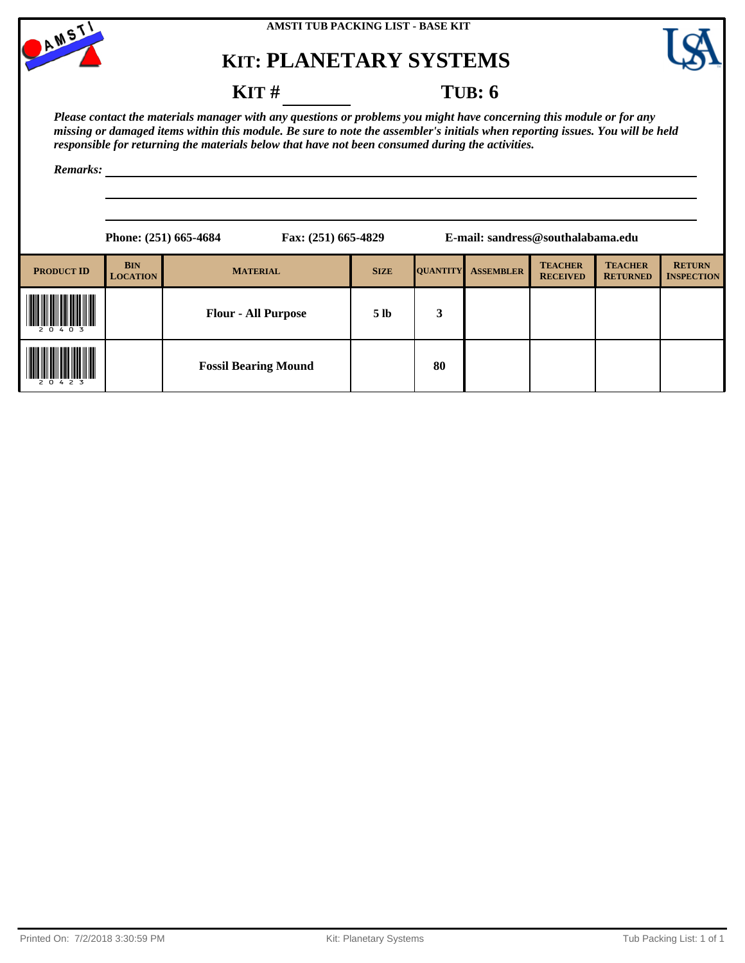



### **KIT** # **TUB: 6**

*Please contact the materials manager with any questions or problems you might have concerning this module or for any missing or damaged items within this module. Be sure to note the assembler's initials when reporting issues. You will be held responsible for returning the materials below that have not been consumed during the activities.*

|                   |                               | Phone: (251) 665-4684<br>Fax: (251) 665-4829 |                 |                 |                  | E-mail: sandress@southalabama.edu |                                   |                                    |
|-------------------|-------------------------------|----------------------------------------------|-----------------|-----------------|------------------|-----------------------------------|-----------------------------------|------------------------------------|
| <b>PRODUCT ID</b> | <b>BIN</b><br><b>LOCATION</b> | <b>MATERIAL</b>                              | <b>SIZE</b>     | <b>QUANTITY</b> | <b>ASSEMBLER</b> | <b>TEACHER</b><br><b>RECEIVED</b> | <b>TEACHER</b><br><b>RETURNED</b> | <b>RETURN</b><br><b>INSPECTION</b> |
| 20403             |                               | <b>Flour - All Purpose</b>                   | 5 <sub>1b</sub> | 3               |                  |                                   |                                   |                                    |
| 20423             |                               | <b>Fossil Bearing Mound</b>                  |                 | 80              |                  |                                   |                                   |                                    |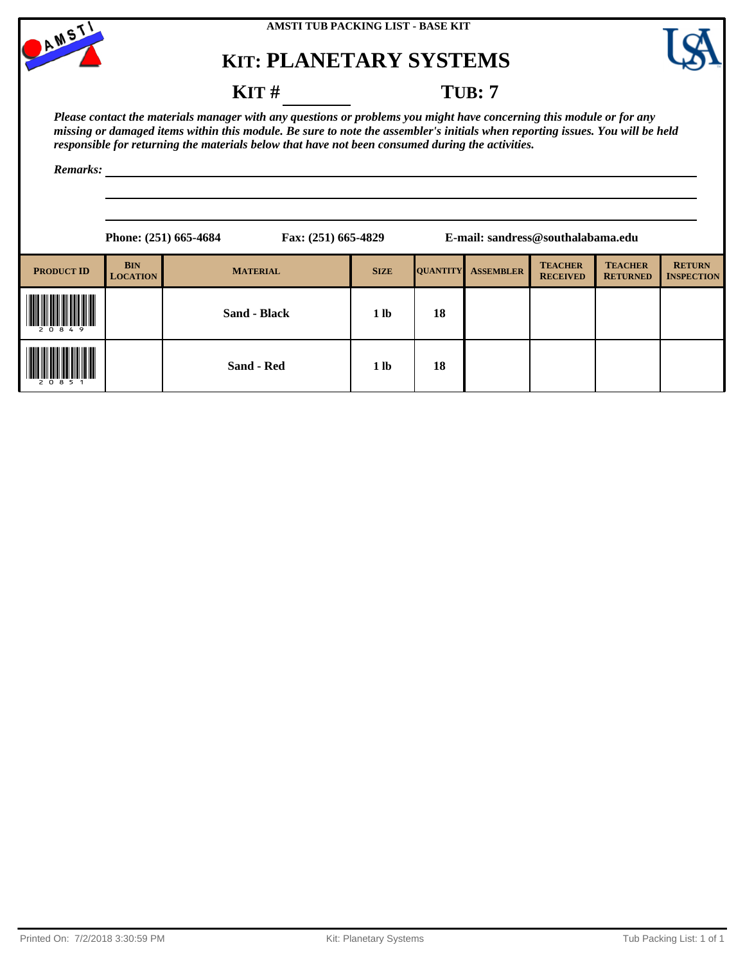



### **KIT # TUB: 7**

*Please contact the materials manager with any questions or problems you might have concerning this module or for any missing or damaged items within this module. Be sure to note the assembler's initials when reporting issues. You will be held responsible for returning the materials below that have not been consumed during the activities.*

|                   |                               | Phone: (251) 665-4684 | Fax: (251) 665-4829 |                 |                  | E-mail: sandress@southalabama.edu |                                   |                                    |
|-------------------|-------------------------------|-----------------------|---------------------|-----------------|------------------|-----------------------------------|-----------------------------------|------------------------------------|
| <b>PRODUCT ID</b> | <b>BIN</b><br><b>LOCATION</b> | <b>MATERIAL</b>       | <b>SIZE</b>         | <b>QUANTITY</b> | <b>ASSEMBLER</b> | <b>TEACHER</b><br><b>RECEIVED</b> | <b>TEACHER</b><br><b>RETURNED</b> | <b>RETURN</b><br><b>INSPECTION</b> |
| 20849             |                               | <b>Sand - Black</b>   | 1 <sub>lb</sub>     | 18              |                  |                                   |                                   |                                    |
| 2 0 8 5 1         |                               | Sand - Red            | 1 <sub>lb</sub>     | 18              |                  |                                   |                                   |                                    |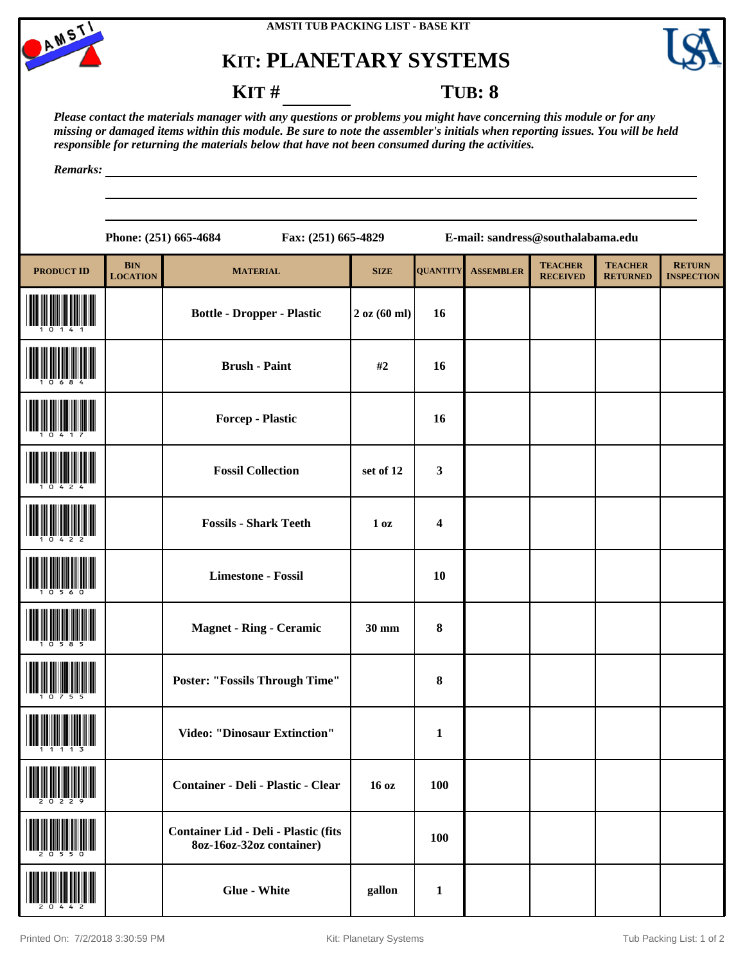



### **KIT # TUB: 8**

*Please contact the materials manager with any questions or problems you might have concerning this module or for any missing or damaged items within this module. Be sure to note the assembler's initials when reporting issues. You will be held responsible for returning the materials below that have not been consumed during the activities.*

*Remarks:*

**Phone: (251) 665-4684 Fax: (251) 665-4829 E-mail: sandress@southalabama.edu**

| <b>PRODUCT ID</b> | <b>BIN</b><br><b>LOCATION</b> | <b>MATERIAL</b>                                                         | <b>SIZE</b>         | <b>QUANTITY</b>         | <b>ASSEMBLER</b> | <b>TEACHER</b><br><b>RECEIVED</b> | <b>TEACHER</b><br><b>RETURNED</b> | <b>RETURN</b><br><b>INSPECTION</b> |
|-------------------|-------------------------------|-------------------------------------------------------------------------|---------------------|-------------------------|------------------|-----------------------------------|-----------------------------------|------------------------------------|
|                   |                               | <b>Bottle - Dropper - Plastic</b>                                       | $2$ oz $(60$ ml $)$ | 16                      |                  |                                   |                                   |                                    |
|                   |                               | <b>Brush - Paint</b>                                                    | #2                  | 16                      |                  |                                   |                                   |                                    |
|                   |                               | Forcep - Plastic                                                        |                     | 16                      |                  |                                   |                                   |                                    |
|                   |                               | <b>Fossil Collection</b>                                                | set of 12           | $\mathbf{3}$            |                  |                                   |                                   |                                    |
|                   |                               | <b>Fossils - Shark Teeth</b>                                            | 1 <sub>oz</sub>     | $\overline{\mathbf{4}}$ |                  |                                   |                                   |                                    |
|                   |                               | <b>Limestone - Fossil</b>                                               |                     | <b>10</b>               |                  |                                   |                                   |                                    |
|                   |                               | <b>Magnet - Ring - Ceramic</b>                                          | 30 mm               | $\pmb{8}$               |                  |                                   |                                   |                                    |
|                   |                               | <b>Poster: "Fossils Through Time"</b>                                   |                     | $\bf{8}$                |                  |                                   |                                   |                                    |
|                   |                               | <b>Video: "Dinosaur Extinction"</b>                                     |                     | $\mathbf{1}$            |                  |                                   |                                   |                                    |
| 20229             |                               | Container - Deli - Plastic - Clear                                      | 16 oz               | <b>100</b>              |                  |                                   |                                   |                                    |
|                   |                               | <b>Container Lid - Deli - Plastic (fits</b><br>8oz-16oz-32oz container) |                     | 100                     |                  |                                   |                                   |                                    |
|                   |                               | <b>Glue - White</b>                                                     | gallon              | $\mathbf{1}$            |                  |                                   |                                   |                                    |